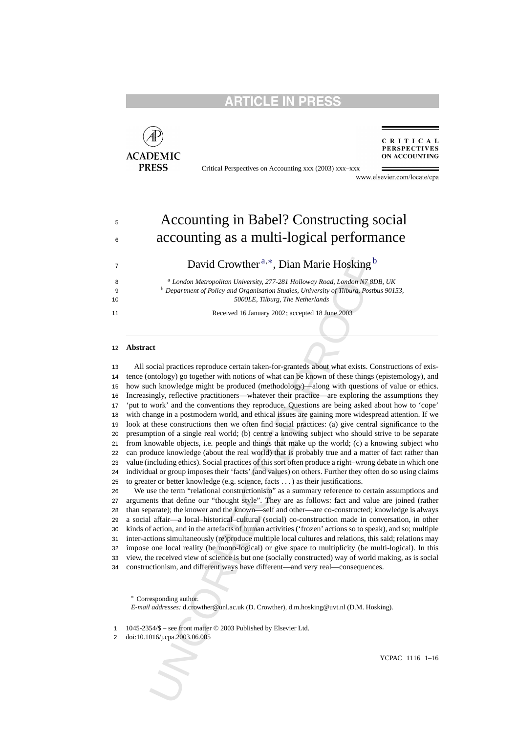

CRITICAL **PERSPECTIVES** ON ACCOUNTING

Critical Perspectives on Accounting xxx (2003) xxx–xxx

www.elsevier.com/locate/cpa

# Accounting in Babel? Constructing social accounting as a multi-logical performance

David Crowther <sup>a</sup>,∗, Dian Marie Hosking <sup>b</sup>

<sup>a</sup> *London Metropolitan University, 277-281 Holloway Road, London N7 8DB, UK* <sup>b</sup> *Department of Policy and Organisation Studies, University of Tilburg, Postbus 90153, 5000LE, Tilburg, The Netherlands*

Received 16 January 2002; accepted 18 June 2003

#### **Abstract**

David Crowther<sup>a,\*</sup>, Dian Marie Hosking b<br>
<sup>2</sup> London Metropolitan University, 277-281 Holloway Road, London N7 8D<br>
<sup>2</sup> London Metropolitan University, 277-281 Holloway Road, London N7 8D<br>
<sup>2</sup> Department of Policy and Org All social practices reproduce certain taken-for-granteds about what exists. Constructions of exis- tence (ontology) go together with notions of what can be known of these things (epistemology), and how such knowledge might be produced (methodology)—along with questions of value or ethics. Increasingly, reflective practitioners—whatever their practice—are exploring the assumptions they 'put to work' and the conventions they reproduce. Questions are being asked about how to 'cope' with change in a postmodern world, and ethical issues are gaining more widespread attention. If we look at these constructions then we often find social practices: (a) give central significance to the presumption of a single real world; (b) centre a knowing subject who should strive to be separate from knowable objects, i.e. people and things that make up the world; (c) a knowing subject who can produce knowledge (about the real world) that is probably true and a matter of fact rather than value (including ethics). Social practices of this sort often produce a right–wrong debate in which one individual or group imposes their 'facts' (and values) on others. Further they often do so using claims to greater or better knowledge (e.g. science, facts ... ) as their justifications. We use the term "relational constructionism" as a summary reference to certain assumptions and arguments that define our "thought style". They are as follows: fact and value are joined (rather than separate); the knower and the known—self and other—are co-constructed; knowledge is always

 a social affair—a local–historical–cultural (social) co-construction made in conversation, in other kinds of action, and in the artefacts of human activities ('frozen' actions so to speak), and so; multiple inter-actions simultaneously (re)produce multiple local cultures and relations, this said; relations may impose one local reality (be mono-logical) or give space to multiplicity (be multi-logical). In this view, the received view of science is but one (socially constructed) way of world making, as is social constructionism, and different ways have different—and very real—consequences.

∗ Corresponding author.

*E-mail addresses:* d.crowther@unl.ac.uk (D. Crowther), d.m.hosking@uvt.nl (D.M. Hosking).

1045-2354/\$ – see front matter © 2003 Published by Elsevier Ltd.

doi:10.1016/j.cpa.2003.06.005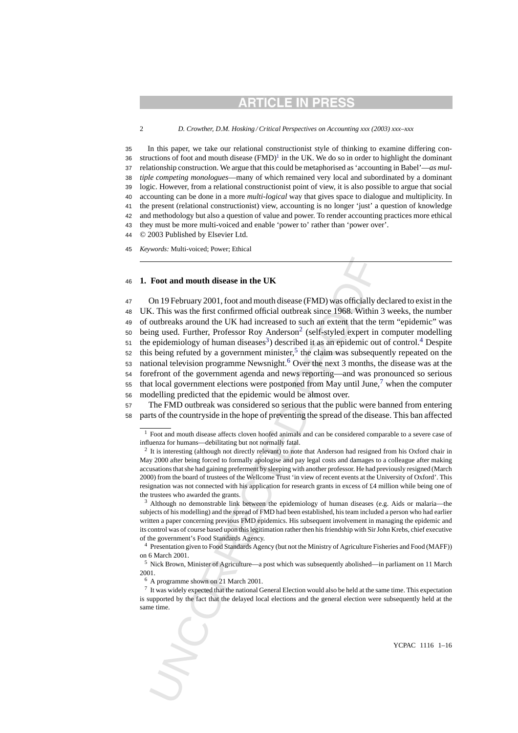2 *D. Crowther, D.M. Hosking / Critical Perspectives on Accounting xxx (2003) xxx–xxx*

 In this paper, we take our relational constructionist style of thinking to examine differing constructions of foot and mouth disease  $(FMD)^1$  in the UK. We do so in order to highlight the dominant relationship construction. We argue that this could be metaphorised as 'accounting in Babel'—*as mul- tiple competing monologues*—many of which remained very local and subordinated by a dominant logic. However, from a relational constructionist point of view, it is also possible to argue that social accounting can be done in a more *multi-logical* way that gives space to dialogue and multiplicity. In the present (relational constructionist) view, accounting is no longer 'just' a question of knowledge and methodology but also a question of value and power. To render accounting practices more ethical they must be more multi-voiced and enable 'power to' rather than 'power over'. © 2003 Published by Elsevier Ltd. *Keywords:* Multi-voiced; Power; Ethical

### <sup>46</sup> **1. Foot and mouth disease in the UK**

Foot and mouth disease in the UK<br>
Con 19 February 2001, foot and mouth disease (FMD) was officially<br>
C. This was the first confirmed official outbreak sine of the UK had increased to such an extent that the<br>
ing used. Fur <sup>47</sup> On 19 February 2001, foot and mouth disease (FMD) was officially declared to exist in the <sup>48</sup> UK. This was the first confirmed official outbreak since 1968. Within 3 weeks, the number <sup>49</sup> of outbreaks around the UK had increased to such an extent that the term "epidemic" was 50 being used. Further, Professor Roy Anderson<sup>2</sup> (self-styled expert in computer modelling the epidemiology of human diseases<sup>3</sup>) described it as an epidemic out of control.<sup>4</sup> Despite this being refuted by a government minister,<sup>5</sup> the claim was subsequently repeated on the 53 national television programme Newsnight.<sup>6</sup> Over the next 3 months, the disease was at the <sup>54</sup> forefront of the government agenda and news reporting—and was pronounced so serious that local government elections were postponed from May until June,<sup>7</sup> when the computer <sup>56</sup> modelling predicted that the epidemic would be almost over. <sup>57</sup> The FMD outbreak was considered so serious that the public were banned from entering <sup>58</sup> parts of the countryside in the hope of preventing the spread of the disease. This ban affected

<sup>3</sup> Although no demonstrable link between the epidemiology of human diseases (e.g. Aids or malaria—the subjects of his modelling) and the spread of FMD had been established, his team included a person who had earlier written a paper concerning previous FMD epidemics. His subsequent involvement in managing the epidemic and its control was of course based upon this legitimation rather then his friendship with Sir John Krebs, chief executive of the government's Food Standards Agency.

<sup>4</sup> Presentation given to Food Standards Agency (but not the Ministry of Agriculture Fisheries and Food (MAFF)) on 6 March 2001.

<sup>&</sup>lt;sup>1</sup> Foot and mouth disease affects cloven hoofed animals and can be considered comparable to a severe case of influenza for humans—debilitating but not normally fatal.

<sup>&</sup>lt;sup>2</sup> It is interesting (although not directly relevant) to note that Anderson had resigned from his Oxford chair in May 2000 after being forced to formally apologise and pay legal costs and damages to a colleague after making accusations that she had gaining preferment by sleeping with another professor. He had previously resigned (March 2000) from the board of trustees of the Wellcome Trust 'in view of recent events at the University of Oxford'. This resignation was not connected with his application for research grants in excess of £4 million while being one of the trustees who awarded the grants.

<sup>5</sup> Nick Brown, Minister of Agriculture—a post which was subsequently abolished—in parliament on 11 March 2001.

<sup>6</sup> A programme shown on 21 March 2001.

<sup>7</sup> It was widely expected that the national General Election would also be held at the same time. This expectation is supported by the fact that the delayed local elections and the general election were subsequently held at the same time.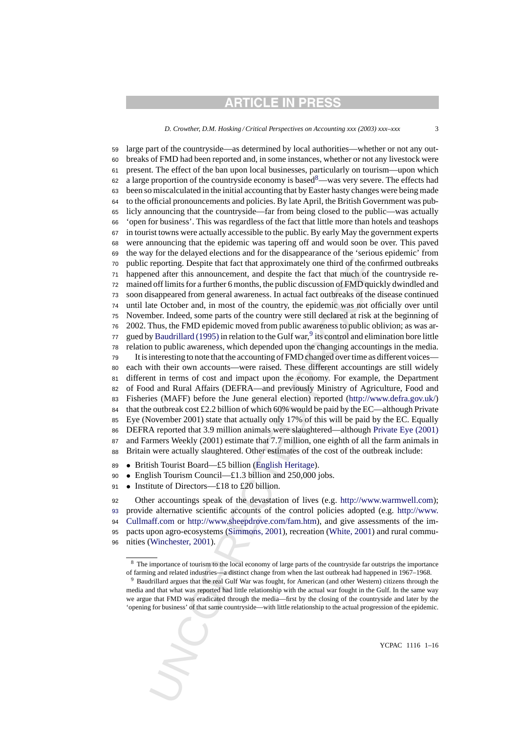*D. Crowther, D.M. Hosking / Critical Perspectives on Accounting xxx (2003) xxx–xxx* 3

reporting. Despite that fact that approximately one third of the cord<br>reporting. Despite that fact that approximately one third of the cord<br>of diff this amouncement, and despite the fact that much of the<br>isoperated form d large part of the countryside—as determined by local authorities—whether or not any out- breaks of FMD had been reported and, in some instances, whether or not any livestock were present. The effect of the ban upon local businesses, particularly on tourism—upon which 62 a large proportion of the countryside economy is based  $\delta$ —was very severe. The effects had been so miscalculated in the initial accounting that by Easter hasty changes were being made to the official pronouncements and policies. By late April, the British Government was pub- licly announcing that the countryside—far from being closed to the public—was actually 'open for business'. This was regardless of the fact that little more than hotels and teashops in tourist towns were actually accessible to the public. By early May the government experts were announcing that the epidemic was tapering off and would soon be over. This paved the way for the delayed elections and for the disappearance of the 'serious epidemic' from public reporting. Despite that fact that approximately one third of the confirmed outbreaks happened after this announcement, and despite the fact that much of the countryside re- mained off limits for a further 6 months, the public discussion of FMD quickly dwindled and soon disappeared from general awareness. In actual fact outbreaks of the disease continued until late October and, in most of the country, the epidemic was not officially over until November. Indeed, some parts of the country were still declared at risk at the beginning of 2002. Thus, the FMD epidemic moved from public awareness to public oblivion; as was arzz gued by Baudrillard (1995) in relation to the Gulf war,<sup>9</sup> its control and elimination bore little relation to public awareness, which depended upon the changing accountings in the media. It is interesting to note that the accounting of FMD changed over time as different voices— each with their own accounts—were raised. These different accountings are still widely different in terms of cost and impact upon the economy. For example, the Department of Food and Rural Affairs (DEFRA—and previously Ministry of Agriculture, Food and Fisheries (MAFF) before the June general election) reported (<http://www.defra.gov.uk/>) 84 that the outbreak cost £2.2 billion of which 60% would be paid by the EC—although Private Eye (November 2001) state that actually only 17% of this will be paid by the EC. Equally DEFRA reported that 3.9 million animals were slaughtered—although [Private Eye \(2001\)](#page-15-0) and Farmers Weekly (2001) estimate that 7.7 million, one eighth of all the farm animals in Britain were actually slaughtered. Other estimates of the cost of the outbreak include:

89 • British Tourist Board—£5 billion (English Heritage).<br>90 • English Tourism Council—£1.3 billion and 250,000 j

90 • English Tourism Council—£1.3 billion and 250,000 jobs.<br>91 • Institute of Directors—£18 to £20 billion.

Institute of Directors— $£18$  to £20 billion.

 Other accountings speak of the devastation of lives (e.g. [http://www.warmwell.com\)](http://www.warmwell.com); provide alternative scientific accounts of the control policies adopted (e.g. [http://www.](http://www.Cullmaff.com)

Cullmaff.com or http://www.sheepdrove.com/fam.htm), and give assessments of the im-

pacts upon agro-ecosystems (Simmons, 2001), recreation (White, 2001) and rural commu-

nities (Winchester, 2001).

The importance of tourism to the local economy of large parts of the countryside far outstrips the importance of farming and related industries—a distinct change from when the last outbreak had happened in 1967–1968.

 Baudrillard argues that the real Gulf War was fought, for American (and other Western) citizens through the media and that what was reported had little relationship with the actual war fought in the Gulf. In the same way we argue that FMD was eradicated through the media—first by the closing of the countryside and later by the 'opening for business' of that same countryside—with little relationship to the actual progression of the epidemic.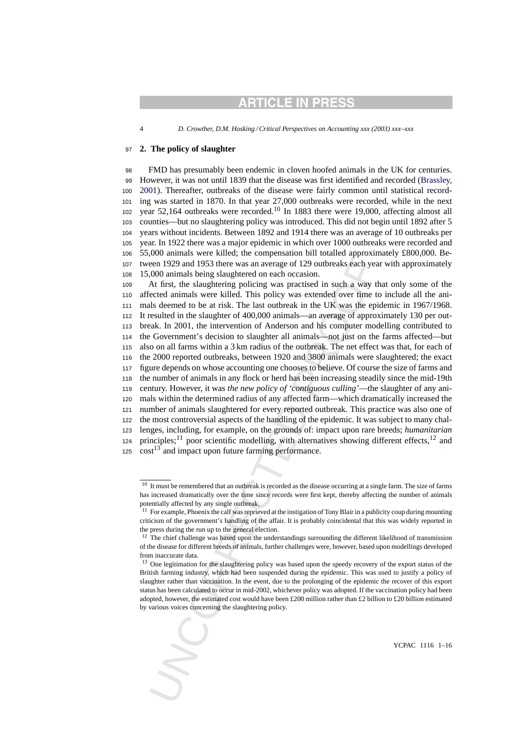4 *D. Crowther, D.M. Hosking / Critical Perspectives on Accounting xxx (2003) xxx–xxx*

#### <sup>97</sup> **2. The policy of slaughter**

 FMD has presumably been endemic in cloven hoofed animals in the UK for centuries. However, it was not until 1839 that the disease was first identified and recorded [\(Brassley,](#page-14-0) [2001\).](#page-14-0) Thereafter, outbreaks of the disease were fairly common until statistical record- ing was started in 1870. In that year 27,000 outbreaks were recorded, while in the next 102 year 52,164 outbreaks were recorded.<sup>10</sup> In 1883 there were 19,000, affecting almost all counties—but no slaughtering policy was introduced. This did not begin until 1892 after 5 years without incidents. Between 1892 and 1914 there was an average of 10 outbreaks per year. In 1922 there was a major epidemic in which over 1000 outbreaks were recorded and 55,000 animals were killed; the compensation bill totalled approximately £800,000. Be- tween 1929 and 1953 there was an average of 129 outbreaks each year with approximately 15,000 animals being slaughtered on each occasion.

een 1929 and 1953 there was an average of 129 outbreaks each yead<br>co.000 animals being slaughtering on cato occasion.<br>At first, the slaughtering policing was practised in such a way the<br>ccted animals were killed. This pol At first, the slaughtering policing was practised in such a way that only some of the affected animals were killed. This policy was extended over time to include all the ani- mals deemed to be at risk. The last outbreak in the UK was the epidemic in 1967/1968. It resulted in the slaughter of 400,000 animals—an average of approximately 130 per out- break. In 2001, the intervention of Anderson and his computer modelling contributed to the Government's decision to slaughter all animals—not just on the farms affected—but also on all farms within a 3 km radius of the outbreak. The net effect was that, for each of the 2000 reported outbreaks, between 1920 and 3800 animals were slaughtered; the exact figure depends on whose accounting one chooses to believe. Of course the size of farms and the number of animals in any flock or herd has been increasing steadily since the mid-19th century. However, it was *the new policy of 'contiguous culling'*—the slaughter of any ani- mals within the determined radius of any affected farm—which dramatically increased the number of animals slaughtered for every reported outbreak. This practice was also one of the most controversial aspects of the handling of the epidemic. It was subject to many chal- lenges, including, for example, on the grounds of: impact upon rare breeds; *humanitarian* 124 principles;<sup>11</sup> poor scientific modelling, with alternatives showing different effects,<sup>12</sup> and  $\cos^{-13}$  and impact upon future farming performance.

<sup>&</sup>lt;sup>10</sup> It must be remembered that an outbreak is recorded as the disease occurring at a single farm. The size of farms has increased dramatically over the time since records were first kept, thereby affecting the number of animals potentially affected by any single outbreak.

<sup>&</sup>lt;sup>11</sup> For example, Phoenix the calf was reprieved at the instigation of Tony Blair in a publicity coup during mounting criticism of the government's handling of the affair. It is probably coincidental that this was widely reported in the press during the run up to the general election.

<sup>12</sup> The chief challenge was based upon the understandings surrounding the different likelihood of transmission of the disease for different breeds of animals, further challenges were, however, based upon modellings developed from inaccurate data.

<sup>&</sup>lt;sup>13</sup> One legitimation for the slaughtering policy was based upon the speedy recovery of the export status of the British farming industry, which had been suspended during the epidemic. This was used to justify a policy of slaughter rather than vaccination. In the event, due to the prolonging of the epidemic the recover of this export status has been calculated to occur in mid-2002, whichever policy was adopted. If the vaccination policy had been adopted, however, the estimated cost would have been £200 million rather than £2 billion to £20 billion estimated by various voices concerning the slaughtering policy.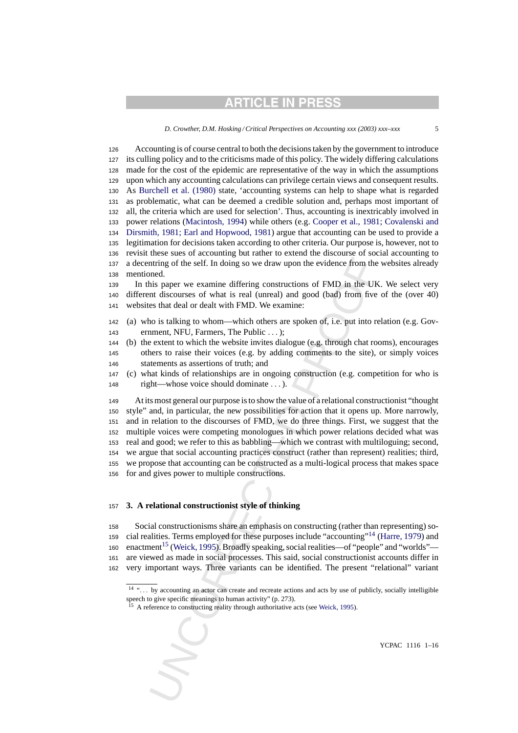*D. Crowther, D.M. Hosking / Critical Perspectives on Accounting xxx (2003) xxx–xxx* 5

 Accounting is of course central to both the decisions taken by the government to introduce its culling policy and to the criticisms made of this policy. The widely differing calculations made for the cost of the epidemic are representative of the way in which the assumptions upon which any accounting calculations can privilege certain views and consequent results. As [Burchell et al. \(1980\)](#page-14-0) state, 'accounting systems can help to shape what is regarded as problematic, what can be deemed a credible solution and, perhaps most important of all, the criteria which are used for selection'. Thus, accounting is inextricably involved in power relations [\(Macintosh, 1994\)](#page-15-0) while others (e.g. [Cooper et al., 1981; Covalenski and](#page-14-0) [Dirsmith, 1981; Earl and Hopwood, 1981\)](#page-14-0) argue that accounting can be used to provide a legitimation for decisions taken according to other criteria. Our purpose is, however, not to revisit these sues of accounting but rather to extend the discourse of social accounting to a decentring of the self. In doing so we draw upon the evidence from the websites already mentioned.

 In this paper we examine differing constructions of FMD in the UK. We select very different discourses of what is real (unreal) and good (bad) from five of the (over 40) websites that deal or dealt with FMD. We examine:

 (a) who is talking to whom—which others are spoken of, i.e. put into relation (e.g. Gov-ernment, NFU, Farmers, The Public ... );

 (b) the extent to which the website invites dialogue (e.g. through chat rooms), encourages others to raise their voices (e.g. by adding comments to the site), or simply voices statements as assertions of truth; and

 (c) what kinds of relationships are in ongoing construction (e.g. competition for who is right—whose voice should dominate ... ).

ntring of the self. In doing so we draw upon the evidence from the bunded.<br>Intring of the self. In doing so we draw upon the evidence from the<br>ontd.<br>Ints apper we examine differing constructions of FMD in the UN<br>Ints disco At its most general our purpose is to show the value of a relational constructionist "thought style" and, in particular, the new possibilities for action that it opens up. More narrowly, and in relation to the discourses of FMD, we do three things. First, we suggest that the multiple voices were competing monologues in which power relations decided what was real and good; we refer to this as babbling—which we contrast with multiloguing; second, we argue that social accounting practices construct (rather than represent) realities; third, we propose that accounting can be constructed as a multi-logical process that makes space for and gives power to multiple constructions.

#### **3. A relational constructionist style of thinking**

 Social constructionisms share an emphasis on constructing (rather than representing) so-ts cial realities. Terms employed for these purposes include "accounting"<sup>14</sup> ([Harre, 1979\)](#page-15-0) and <sup>160</sup> enactment<sup>15</sup> (Weick, 1995). Broadly speaking, social realities—of "people" and "worlds"— are viewed as made in social processes. This said, social constructionist accounts differ in very important ways. Three variants can be identified. The present "relational" variant

<sup>&</sup>lt;sup>14</sup> "... by accounting an actor can create and recreate actions and acts by use of publicly, socially intelligible speech to give specific meanings to human activity" (p. 273).

A reference to constructing reality through authoritative acts (see Weick, 1995).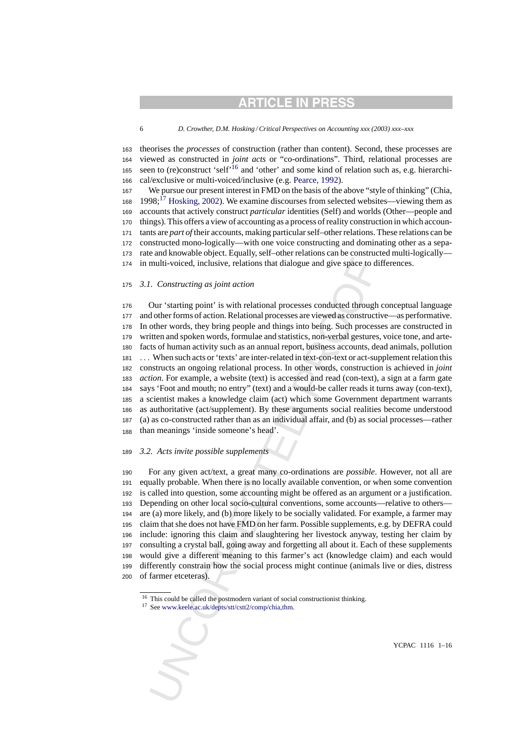*D. Crowther, D.M. Hosking / Critical Perspectives on Accounting xxx (2003) xxx–xxx*

 theorises the *processes* of construction (rather than content). Second, these processes are viewed as constructed in *joint acts* or "co-ordinations". Third, relational processes are the seen to (re)construct 'self'<sup>16</sup> and 'other' and some kind of relation such as, e.g. hierarchi-cal/exclusive or multi-voiced/inclusive (e.g. [Pearce, 1992\).](#page-15-0)

 We pursue our present interest in FMD on the basis of the above "style of thinking" (Chia, ;<sup>17</sup> [Hosking, 2002\).](#page-15-0) We examine discourses from selected websites—viewing them as accounts that actively construct *particular* identities (Self) and worlds (Other—people and things). This offers a view of accounting as a process of reality construction in which accoun- tants are *part of* their accounts, making particular self–other relations. These relations can be constructed mono-logically—with one voice constructing and dominating other as a sepa- rate and knowable object. Equally, self–other relations can be constructed multi-logically— in multi-voiced, inclusive, relations that dialogue and give space to differences.

#### *3.1. Constructing as joint action*

multi-voiced, inclusive, relations that dialogue and give space to d<br>multi-voiced, inclusive, relations that dialogue and give space to d<br>
1. Constructing as joint action<br> [O](http://www.keele.ac.uk/depts/stt/cstt2/comp/chia,thm)ur 'starting point' is with relational processes Our 'starting point' is with relational processes conducted through conceptual language and other forms of action. Relational processes are viewed as constructive—as performative. In other words, they bring people and things into being. Such processes are constructed in written and spoken words, formulae and statistics, non-verbal gestures, voice tone, and arte- facts of human activity such as an annual report, business accounts, dead animals, pollution ... When such acts or 'texts' are inter-related in text-con-text or act-supplement relation this constructs an ongoing relational process. In other words, construction is achieved in *joint action*. For example, a website (text) is accessed and read (con-text), a sign at a farm gate says 'Foot and mouth; no entry" (text) and a would-be caller reads it turns away (con-text), a scientist makes a knowledge claim (act) which some Government department warrants as authoritative (act/supplement). By these arguments social realities become understood (a) as co-constructed rather than as an individual affair, and (b) as social processes—rather than meanings 'inside someone's head'.

#### *3.2. Acts invite possible supplements*

 For any given act/text, a great many co-ordinations are *possible*. However, not all are equally probable. When there is no locally available convention, or when some convention is called into question, some accounting might be offered as an argument or a justification. Depending on other local socio-cultural conventions, some accounts—relative to others— are (a) more likely, and (b) more likely to be socially validated. For example, a farmer may claim that she does not have FMD on her farm. Possible supplements, e.g. by DEFRA could include: ignoring this claim and slaughtering her livestock anyway, testing her claim by consulting a crystal ball, going away and forgetting all about it. Each of these supplements would give a different meaning to this farmer's act (knowledge claim) and each would differently constrain how the social process might continue (animals live or dies, distress of farmer etceteras).

<sup>&</sup>lt;sup>16</sup> This could be called the postmodern variant of social constructionist thinking.

See www.keele.ac.uk/depts/stt/cstt2/comp/chia,thm.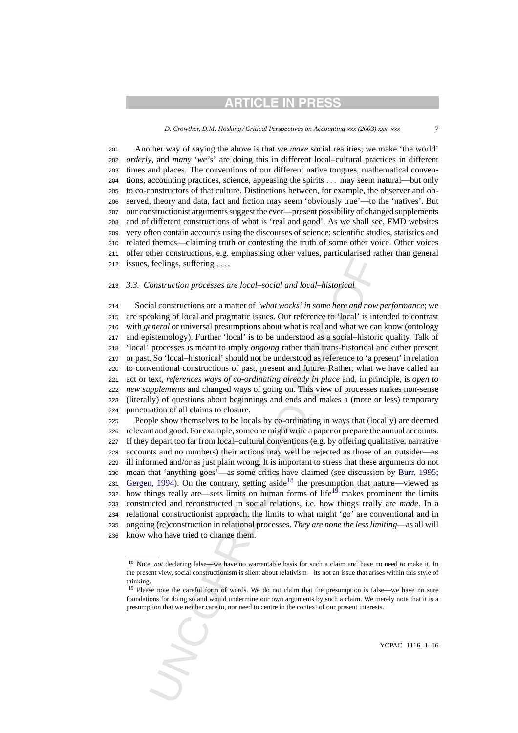#### *D. Crowther, D.M. Hosking / Critical Perspectives on Accounting xxx (2003) xxx–xxx* 7

 Another way of saying the above is that we *make* social realities; we make 'the world' *orderly*, and *many* '*we's*' are doing this in different local–cultural practices in different times and places. The conventions of our different native tongues, mathematical conven- tions, accounting practices, science, appeasing the spirits ... may seem natural—but only to co-constructors of that culture. Distinctions between, for example, the observer and ob- served, theory and data, fact and fiction may seem 'obviously true'—to the 'natives'. But our constructionist arguments suggest the ever—present possibility of changed supplements and of different constructions of what is 'real and good'. As we shall see, FMD websites very often contain accounts using the discourses of science: scientific studies, statistics and related themes—claiming truth or contesting the truth of some other voice. Other voices offer other constructions, e.g. emphasising other values, particularised rather than general issues, feelings, suffering ... .

#### *3.3. Construction processes are local–social and local–historical*

 Social constructions are a matter of *'what works' in some here and now performance*; we are speaking of local and pragmatic issues. Our reference to 'local' is intended to contrast with *general* or universal presumptions about what is real and what we can know (ontology and epistemology). Further 'local' is to be understood as a social–historic quality. Talk of 'local' processes is meant to imply *ongoing* rather than trans-historical and either present or past. So 'local–historical' should not be understood as reference to 'a present' in relation to conventional constructions of past, present and future. Rather, what we have called an act or text, *references ways of co-ordinating already in place* and, in principle, is *open to new supplements* and changed ways of going on. This view of processes makes non-sense (literally) of questions about beginnings and ends and makes a (more or less) temporary punctuation of all claims to closure.

contraction processes are local-cultural constantion in the apsaring the<br>star and the system of the system and the star and the star and now charged product and properties of the metal-star and not star in the metal-star People show themselves to be locals by co-ordinating in ways that (locally) are deemed relevant and good. For example, someone might write a paper or prepare the annual accounts. If they depart too far from local–cultural conventions (e.g. by offering qualitative, narrative accounts and no numbers) their actions may well be rejected as those of an outsider—as ill informed and/or as just plain wrong. It is important to stress that these arguments do not mean that 'anything goes'—as some critics have claimed (see discussion by [Burr, 1995;](#page-14-0) [Gergen, 1994\).](#page-14-0) On the contrary, setting aside<sup>18</sup> the presumption that nature—viewed as 232 how things really are—sets limits on human forms of life makes prominent the limits constructed and reconstructed in social relations, i.e. how things really are *made*. In a relational constructionist approach, the limits to what might 'go' are conventional and in ongoing (re)construction in relational processes. *They are none the less limiting*—as all will know who have tried to change them.

<sup>&</sup>lt;sup>18</sup> Note, *not* declaring false—we have no warrantable basis for such a claim and have no need to make it. In the present view, social constructionism is silent about relativism—its not an issue that arises within this style of thinking.

<sup>&</sup>lt;sup>19</sup> Please note the careful form of words. We do not claim that the presumption is false—we have no sure foundations for doing so and would undermine our own arguments by such a claim. We merely note that it is a presumption that we neither care to, nor need to centre in the context of our present interests.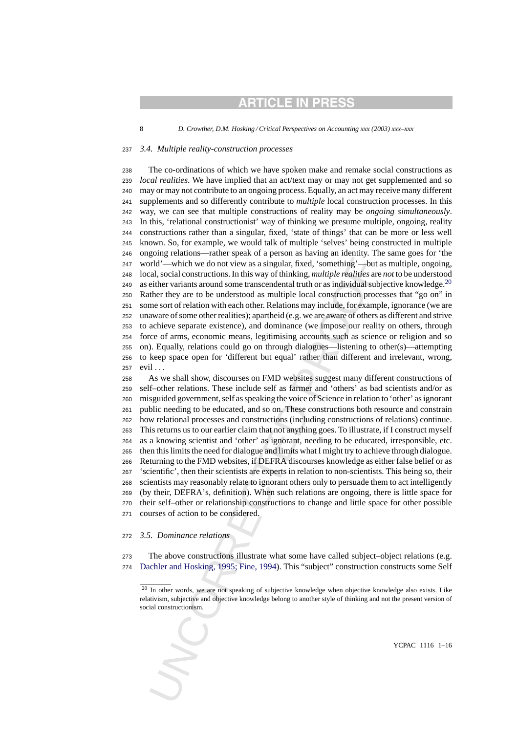*D. Crowther, D.M. Hosking / Critical Perspectives on Accounting xxx (2003) xxx-xxx* 

#### *3.4. Multiple reality-construction processes*

 The co-ordinations of which we have spoken make and remake social constructions as *local realities*. We have implied that an act/text may or may not get supplemented and so may or may not contribute to an ongoing process. Equally, an act may receive many different supplements and so differently contribute to *multiple* local construction processes. In this way, we can see that multiple constructions of reality may be *ongoing simultaneously*. In this, 'relational constructionist' way of thinking we presume multiple, ongoing, reality constructions rather than a singular, fixed, 'state of things' that can be more or less well known. So, for example, we would talk of multiple 'selves' being constructed in multiple ongoing relations—rather speak of a person as having an identity. The same goes for 'the world'—which we do not view as a singular, fixed, 'something'—but as multiple, ongoing, local, social constructions. In this way of thinking, *multiple realities* are *not* to be understood as either variants around some transcendental truth or as individual subjective knowledge.<sup>20</sup> Rather they are to be understood as multiple local construction processes that "go on" in some sort of relation with each other. Relations may include, for example, ignorance (we are unaware of some other realities); apartheid (e.g. we are aware of others as different and strive to achieve separate existence), and dominance (we impose our reality on others, through force of arms, economic means, legitimising accounts such as science or religion and so on). Equally, relations could go on through dialogues—listening to other(s)—attempting to keep space open for 'different but equal' rather than different and irrelevant, wrong, 257 evil

and constructions. In this way of thinking, *multiple realities* and a singular, fixed, 'something'—but either wariants around constructions. In this way of thinking, *multiple realities* are either variants around some tr As we shall show, discourses on FMD websites suggest many different constructions of self–other relations. These include self as farmer and 'others' as bad scientists and/or as misguided government, self as speaking the voice of Science in relation to 'other' as ignorant public needing to be educated, and so on. These constructions both resource and constrain how relational processes and constructions (including constructions of relations) continue. This returns us to our earlier claim that not anything goes. To illustrate, if I construct myself as a knowing scientist and 'other' as ignorant, needing to be educated, irresponsible, etc. then this limits the need for dialogue and limits what I might try to achieve through dialogue. Returning to the FMD websites, if DEFRA discourses knowledge as either false belief or as 'scientific', then their scientists are experts in relation to non-scientists. This being so, their scientists may reasonably relate to ignorant others only to persuade them to act intelligently (by their, DEFRA's, definition). When such relations are ongoing, there is little space for their self–other or relationship constructions to change and little space for other possible courses of action to be considered.

#### *3.5. Dominance relations*

 The above constructions illustrate what some have called subject–object relations (e.g. [Dachler and Hosking, 1995; Fine, 1994\).](#page-14-0) This "subject" construction constructs some Self

<sup>&</sup>lt;sup>20</sup> In other words, we are not speaking of subjective knowledge when objective knowledge also exists. Like relativism, subjective and objective knowledge belong to another style of thinking and not the present version of social constructionism.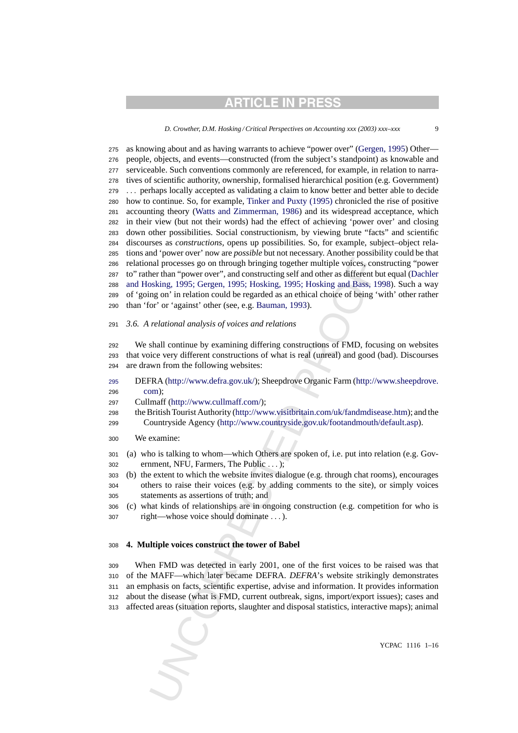#### *D. Crowther, D.M. Hosking / Critical Perspectives on Accounting xxx (2003) xxx–xxx* 9

nal processes go on through bringing together multiple voices, cornal processes go on through bringing together multiple voices, cornelation "power over", and constructing self and other as different than "power over", and as knowing about and as having warrants to achieve "power over" ([Gergen, 1995\)](#page-15-0) Other— people, objects, and events—constructed (from the subject's standpoint) as knowable and serviceable. Such conventions commonly are referenced, for example, in relation to narra- tives of scientific authority, ownership, formalised hierarchical position (e.g. Government) ... perhaps locally accepted as validating a claim to know better and better able to decide how to continue. So, for example, [Tinker and Puxty \(1995\)](#page-15-0) chronicled the rise of positive accounting theory ([Watts and Zimmerman, 1986\)](#page-15-0) and its widespread acceptance, which in their view (but not their words) had the effect of achieving 'power over' and closing down other possibilities. Social constructionism, by viewing brute "facts" and scientific discourses as *constructions*, opens up possibilities. So, for example, subject–object rela- tions and 'power over' now are *possible* but not necessary. Another possibility could be that relational processes go on through bringing together multiple voices, constructing "power to" rather than "power over", and constructing self and other as different but equal [\(Dachler](#page-14-0) [and Hosking, 1995; Gergen, 1995; Hosking, 1995; Hosking and Bass, 1998\)](#page-14-0). Such a way of 'going on' in relation could be regarded as an ethical choice of being 'with' other rather than 'for' or 'against' other (see, e.g. Bauman, 1993).

*3.6. A relational analysis of voices and relations*

 We shall continue by examining differing constructions of FMD, focusing on websites that voice very different constructions of what is real (unreal) and good (bad). Discourses are drawn from the following websites:

- DEFRA (http://www.defra.gov.uk/); Sheepdrove Organic Farm ([http://www.sheepdrove.](http://www.sheepdrove.com) com);
- Cullmaff (http://www.cullmaff.com/);
- the British Tourist Authority [\(http://www.visitbritain.com/uk/fandmdisease.htm](http://www.visitbritain.com/uk/fandmdisease.htm)); and the Countryside Agency (<http://www.countryside.gov.uk/footandmouth/default.asp>).
- We examine:
- (a) who is talking to whom—which Others are spoken of, i.e. put into relation (e.g. Gov-ernment, NFU, Farmers, The Public ... );

 (b) the extent to which the website invites dialogue (e.g. through chat rooms), encourages others to raise their voices (e.g. by adding comments to the site), or simply voices statements as assertions of truth; and

 (c) what kinds of relationships are in ongoing construction (e.g. competition for who is right—whose voice should dominate ... ).

#### **4. Multiple voices construct the tower of Babel**

 When FMD was detected in early 2001, one of the first voices to be raised was that of the MAFF—which later became DEFRA. *DEFRA*'s website strikingly demonstrates an emphasis on facts, scientific expertise, advise and information. It provides information about the disease (what is FMD, current outbreak, signs, import/export issues); cases and affected areas (situation reports, slaughter and disposal statistics, interactive maps); animal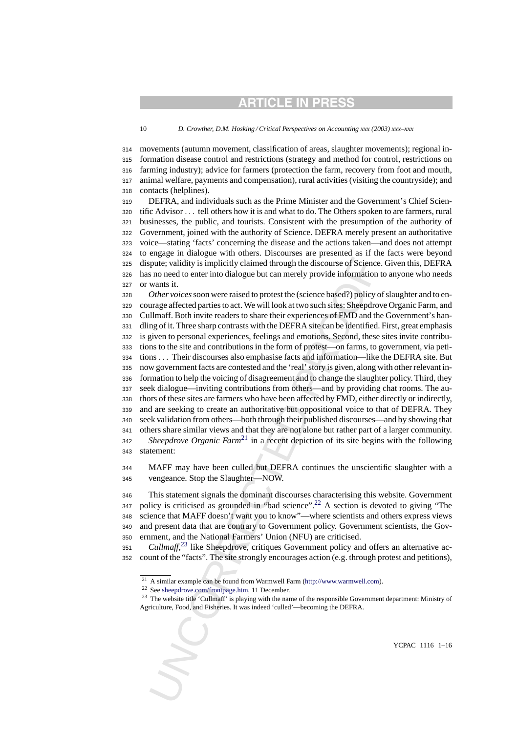*D. Crowther, D.M. Hosking / Critical Perspectives on Accounting xxx (2003) xxx–xxx*

 movements (autumn movement, classification of areas, slaughter movements); regional in- formation disease control and restrictions (strategy and method for control, restrictions on farming industry); advice for farmers (protection the farm, recovery from foot and mouth, animal welfare, payments and compensation), rural activities (visiting the countryside); and contacts (helplines).

 DEFRA, and individuals such as the Prime Minister and the Government's Chief Scien- tific Advisor ... tell others how it is and what to do. The Others spoken to are farmers, rural businesses, the public, and tourists. Consistent with the presumption of the authority of Government, joined with the authority of Science. DEFRA merely present an authoritative voice—stating 'facts' concerning the disease and the actions taken—and does not attempt to engage in dialogue with others. Discourses are presented as if the facts were beyond dispute; validity is implicitly claimed through the discourse of Science. Given this, DEFRA has no need to enter into dialogue but can merely provide information to anyone who needs or wants it.

rpute; validity is implicitly claimed through the discourse of Science<br>spute; validity is implicitly claimed through the discourse of Science<br>son need to center into dialogue but can merely provide information<br>wants it.<br>O *Other voices*soon were raised to protest the (science based?) policy of slaughter and to en- courage affected parties to act. We will look at two such sites: Sheepdrove Organic Farm, and Cullmaff. Both invite readers to share their experiences of FMD and the Government's han- dling of it. Three sharp contrasts with the DEFRA site can be identified. First, great emphasis is given to personal experiences, feelings and emotions. Second, these sites invite contribu- tions to the site and contributions in the form of protest—on farms, to government, via peti- tions ... Their discourses also emphasise facts and information—like the DEFRA site. But now government facts are contested and the 'real' story is given, along with other relevant in- formation to help the voicing of disagreement and to change the slaughter policy. Third, they seek dialogue—inviting contributions from others—and by providing chat rooms. The au- thors of these sites are farmers who have been affected by FMD, either directly or indirectly, and are seeking to create an authoritative but oppositional voice to that of DEFRA. They seek validation from others—both through their published discourses—and by showing that others share similar views and that they are not alone but rather part of a larger community. *samphabsical Sheepdrove Organic Farm*<sup>21</sup> in a recent depiction of its site begins with the following statement:

 MAFF may have been culled but DEFRA continues the unscientific slaughter with a vengeance. Stop the Slaughter—NOW.

 This statement signals the dominant discourses characterising this website. Government 347 policy is criticised as grounded in "bad science".<sup>22</sup> A section is devoted to giving "The science that MAFF doesn't want you to know"—where scientists and others express views and present data that are contrary to Government policy. Government scientists, the Gov-ernment, and the National Farmers' Union (NFU) are criticised.

 *Cullmaff*, $23$  like Sheepdrove, critiques Government policy and offers an alternative ac-count of the "facts". The site strongly encourages action (e.g. through protest and petitions),

A similar example can be found from Warmwell Farm [\(http://www.warmwell.com\)](http://www.warmwell.com).

See sheepdrove.com/frontpage.htm, 11 December.

<sup>&</sup>lt;sup>23</sup> The website title 'Cullmaff' is playing with the name of the responsible Government department: Ministry of Agriculture, Food, and Fisheries. It was indeed 'culled'—becoming the DEFRA.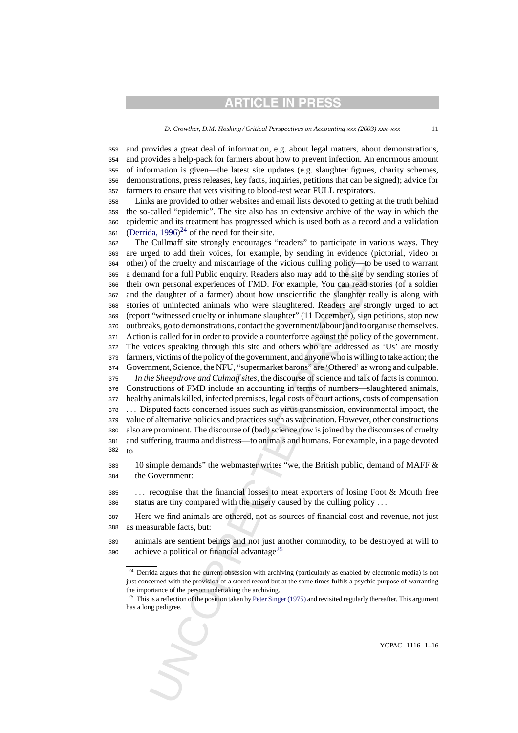#### *D. Crowther, D.M. Hosking / Critical Perspectives on Accounting xxx (2003) xxx–xxx* 11

 and provides a great deal of information, e.g. about legal matters, about demonstrations, and provides a help-pack for farmers about how to prevent infection. An enormous amount of information is given—the latest site updates (e.g. slaughter figures, charity schemes, demonstrations, press releases, key facts, inquiries, petitions that can be signed); advice for farmers to ensure that vets visiting to blood-test wear FULL respirators.

 Links are provided to other websites and email lists devoted to getting at the truth behind the so-called "epidemic". The site also has an extensive archive of the way in which the epidemic and its treatment has progressed which is used both as a record and a validation [\(Derrida, 1996\)](#page-14-0)<sup>24</sup> of the need for their site.

of the cruelty and miscuringe of the victions culling policy—to be<br>of the cruelty and miscuringe of the victions culling policy—to be<br>and for a full Public couqury. Readers also may add to the site by<br>www personal experie The Cullmaff site strongly encourages "readers" to participate in various ways. They are urged to add their voices, for example, by sending in evidence (pictorial, video or other) of the cruelty and miscarriage of the vicious culling policy—to be used to warrant a demand for a full Public enquiry. Readers also may add to the site by sending stories of their own personal experiences of FMD. For example, You can read stories (of a soldier and the daughter of a farmer) about how unscientific the slaughter really is along with stories of uninfected animals who were slaughtered. Readers are strongly urged to act (report "witnessed cruelty or inhumane slaughter" (11 December), sign petitions, stop new outbreaks, go to demonstrations, contact the government/labour) and to organise themselves. Action is called for in order to provide a counterforce against the policy of the government. The voices speaking through this site and others who are addressed as 'Us' are mostly farmers, victims of the policy of the government, and anyone who is willing to take action; the Government, Science, the NFU, "supermarket barons" are 'Othered' as wrong and culpable. *In the Sheepdrove and Culmaff sites*, the discourse of science and talk of facts is common. Constructions of FMD include an accounting in terms of numbers—slaughtered animals, healthy animals killed, infected premises, legal costs of court actions, costs of compensation ... Disputed facts concerned issues such as virus transmission, environmental impact, the value of alternative policies and practices such as vaccination. However, other constructions also are prominent. The discourse of (bad) science now is joined by the discourses of cruelty and suffering, trauma and distress—to animals and humans. For example, in a page devoted to

 10 simple demands" the webmaster writes "we, the British public, demand of MAFF & the Government:

 ... recognise that the financial losses to meat exporters of losing Foot & Mouth free status are tiny compared with the misery caused by the culling policy ...

 Here we find animals are othered, not as sources of financial cost and revenue, not just as measurable facts, but:

 animals are sentient beings and not just another commodity, to be destroyed at will to achieve a political or financial advantage<sup>25</sup>

 $\frac{24}{24}$  Derrida argues that the current obsession with archiving (particularly as enabled by electronic media) is not just concerned with the provision of a stored record but at the same times fulfils a psychic purpose of warranting the importance of the person undertaking the archiving.

<sup>&</sup>lt;sup>25</sup> This is a reflection of the position taken by Peter Singer (1975) and revisited regularly thereafter. This argument has a long pedigree.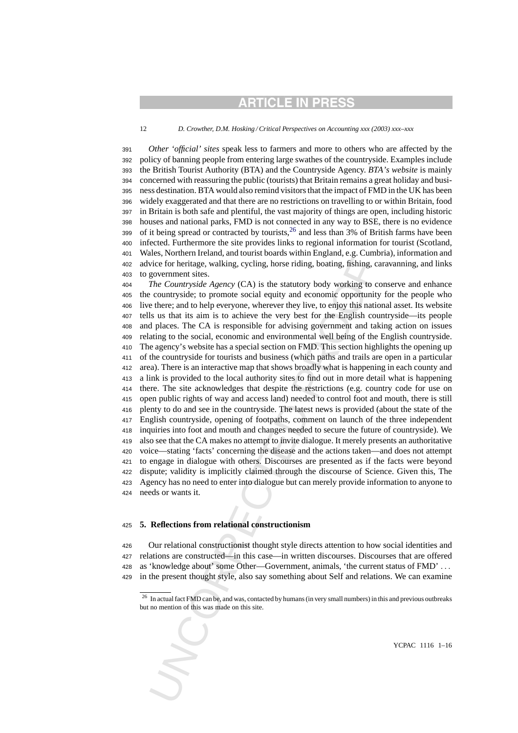*D. Crowther, D.M. Hosking / Critical Perspectives on Accounting xxx (2003) xxx–xxx*

 *Other 'official' sites* speak less to farmers and more to others who are affected by the policy of banning people from entering large swathes of the countryside. Examples include the British Tourist Authority (BTA) and the Countryside Agency. *BTA's website* is mainly concerned with reassuring the public (tourists) that Britain remains a great holiday and busi- ness destination. BTA would also remind visitors that the impact of FMD in the UK has been widely exaggerated and that there are no restrictions on travelling to or within Britain, food in Britain is both safe and plentiful, the vast majority of things are open, including historic houses and national parks, FMD is not connected in any way to BSE, there is no evidence 399 of it being spread or contracted by tourists,  $2<sup>6</sup>$  and less than 3% of British farms have been infected. Furthermore the site provides links to regional information for tourist (Scotland, Wales, Northern Ireland, and tourist boards within England, e.g. Cumbria), information and advice for heritage, walking, cycling, horse riding, boating, fishing, caravanning, and links to government sites.

vice for heritage, walking, cycling, horse riding, boating, fishing, c<br>vice for heritage, walking, cycling, horse riding, boating, fishing, c<br>*The Countryside Agency* (CA) is the statutory body working to c<br>*UNCORRECTE is The Countryside Agency* (CA) is the statutory body working to conserve and enhance the countryside; to promote social equity and economic opportunity for the people who live there; and to help everyone, wherever they live, to enjoy this national asset. Its website tells us that its aim is to achieve the very best for the English countryside—its people and places. The CA is responsible for advising government and taking action on issues relating to the social, economic and environmental well being of the English countryside. The agency's website has a special section on FMD. This section highlights the opening up of the countryside for tourists and business (which paths and trails are open in a particular area). There is an interactive map that shows broadly what is happening in each county and a link is provided to the local authority sites to find out in more detail what is happening there. The site acknowledges that despite the restrictions (e.g. country code for use on open public rights of way and access land) needed to control foot and mouth, there is still plenty to do and see in the countryside. The latest news is provided (about the state of the English countryside, opening of footpaths, comment on launch of the three independent inquiries into foot and mouth and changes needed to secure the future of countryside). We also see that the CA makes no attempt to invite dialogue. It merely presents an authoritative voice—stating 'facts' concerning the disease and the actions taken—and does not attempt to engage in dialogue with others. Discourses are presented as if the facts were beyond dispute; validity is implicitly claimed through the discourse of Science. Given this, The Agency has no need to enter into dialogue but can merely provide information to anyone to needs or wants it.

#### **5. Reflections from relational constructionism**

 Our relational constructionist thought style directs attention to how social identities and relations are constructed—in this case—in written discourses. Discourses that are offered

as 'knowledge about' some Other—Government, animals, 'the current status of FMD' ...

in the present thought style, also say something about Self and relations. We can examine

<sup>&</sup>lt;sup>26</sup> In actual fact FMD can be, and was, contacted by humans (in very small numbers) in this and previous outbreaks but no mention of this was made on this site.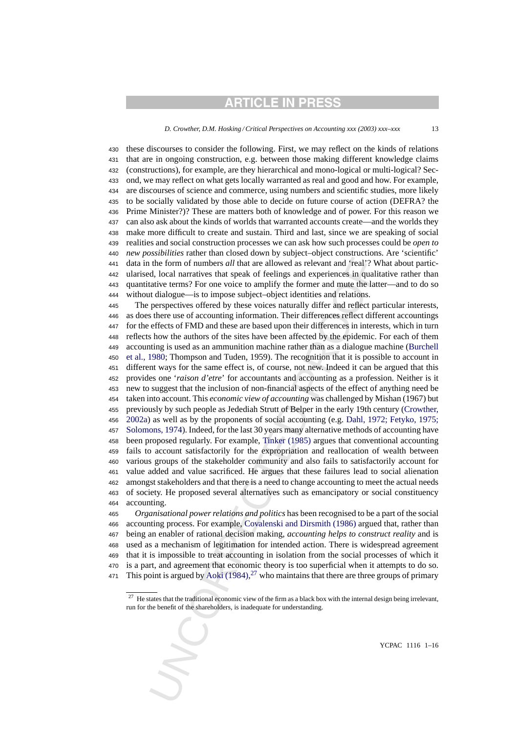#### *D. Crowther, D.M. Hosking / Critical Perspectives on Accounting xxx (2003) xxx–xxx* 13

 these discourses to consider the following. First, we may reflect on the kinds of relations that are in ongoing construction, e.g. between those making different knowledge claims (constructions), for example, are they hierarchical and mono-logical or multi-logical? Sec- ond, we may reflect on what gets locally warranted as real and good and how. For example, are discourses of science and commerce, using numbers and scientific studies, more likely to be socially validated by those able to decide on future course of action (DEFRA? the Prime Minister?)? These are matters both of knowledge and of power. For this reason we can also ask about the kinds of worlds that warranted accounts create—and the worlds they make more difficult to create and sustain. Third and last, since we are speaking of social realities and social construction processes we can ask how such processes could be *open to new possibilities* rather than closed down by subject–object constructions. Are 'scientific' data in the form of numbers *all* that are allowed as relevant and 'real'? What about partic- ularised, local narratives that speak of feelings and experiences in qualitative rather than quantitative terms? For one voice to amplify the former and mute the latter—and to do so without dialogue—is to impose subject–object identities and relations.

the form of numbers all that are allowed as relevant and 'real'? We<br>club the form of numbers all that are allowed as relevant and 'real'? We<br>d, local narratives that speak of fectlings and experiences in qualitative<br>terms The perspectives offered by these voices naturally differ and reflect particular interests, as does there use of accounting information. Their differences reflect different accountings for the effects of FMD and these are based upon their differences in interests, which in turn reflects how the authors of the sites have been affected by the epidemic. For each of them accounting is used as an ammunition machine rather than as a dialogue machine [\(Burchell](#page-14-0) [et al., 1980;](#page-14-0) Thompson and Tuden, 1959). The recognition that it is possible to account in different ways for the same effect is, of course, not new. Indeed it can be argued that this provides one '*raison d'etre*' for accountants and accounting as a profession. Neither is it new to suggest that the inclusion of non-financial aspects of the effect of anything need be taken into account. This *economic view of accounting* was challenged by Mishan (1967) but previously by such people as Jedediah Strutt of Belper in the early 19th century [\(Crowther,](#page-14-0) [2002a\)](#page-14-0) as well as by the proponents of social accounting (e.g. [Dahl, 1972; Fetyko, 1975;](#page-14-0) [Solomons, 1974\).](#page-14-0) Indeed, for the last 30 years many alternative methods of accounting have been proposed regularly. For example, Tinker (1985) argues that conventional accounting fails to account satisfactorily for the expropriation and reallocation of wealth between various groups of the stakeholder community and also fails to satisfactorily account for value added and value sacrificed. He argues that these failures lead to social alienation amongst stakeholders and that there is a need to change accounting to meet the actual needs of society. He proposed several alternatives such as emancipatory or social constituency accounting.

 *Organisational power relations and politics* has been recognised to be a part of the social accounting process. For example, Covalenski and Dirsmith (1986) argued that, rather than being an enabler of rational decision making, *accounting helps to construct reality* and is used as a mechanism of legitimation for intended action. There is widespread agreement that it is impossible to treat accounting in isolation from the social processes of which it is a part, and agreement that economic theory is too superficial when it attempts to do so. 471 This point is argued by Aoki  $(1984)$ ,<sup>27</sup> who maintains that there are three groups of primary

 He states that the traditional economic view of the firm as a black box with the internal design being irrelevant, run for the benefit of the shareholders, is inadequate for understanding.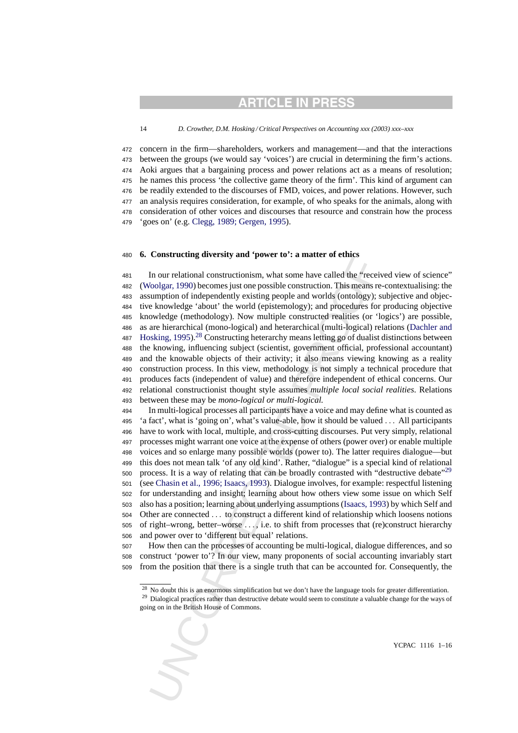*D. Crowther, D.M. Hosking / Critical Perspectives on Accounting xxx (2003) xxx–xxx*

 concern in the firm—shareholders, workers and management—and that the interactions between the groups (we would say 'voices') are crucial in determining the firm's actions. Aoki argues that a bargaining process and power relations act as a means of resolution; he names this process 'the collective game theory of the firm'. This kind of argument can be readily extended to the discourses of FMD, voices, and power relations. However, such an analysis requires consideration, for example, of who speaks for the animals, along with consideration of other voices and discourses that resource and constrain how the process 'goes on' (e.g. [Clegg, 1989; Gergen, 1995\).](#page-14-0)

#### **6. Constructing diversity and 'power to': a matter of ethics**

 In our relational constructionism, what some have called the "received view of science" ([Woolgar, 1990\) b](#page-15-0)ecomes just one possible construction. This means re-contextualising: the assumption of independently existing people and worlds (ontology); subjective and objec- tive knowledge 'about' the world (epistemology); and procedures for producing objective knowledge (methodology). Now multiple constructed realities (or 'logics') are possible, as are hierarchical (mono-logical) and heterarchical (multi-logical) relations ([Dachler and](#page-14-0) 487 Hosking, ).<sup>28</sup> Constructing heterarchy means letting go of dualist distinctions between the knowing, influencing subject (scientist, government official, professional accountant) and the knowable objects of their activity; it also means viewing knowing as a reality construction process. In this view, methodology is not simply a technical procedure that produces facts (independent of value) and therefore independent of ethical concerns. Our relational constructionist thought style assumes *multiple local social realities*. Relations between these may be *mono-logical or multi-logical.*

Constracting curvently time power to  $t$  a minute of ethic-<br>The curvent construction in that some have celled the "recention fooling the procedure of the construction. This means is sumption of independently existing peop In multi-logical processes all participants have a voice and may define what is counted as 'a fact', what is 'going on', what's value-able, how it should be valued ... All participants have to work with local, multiple, and cross-cutting discourses. Put very simply, relational processes might warrant one voice at the expense of others (power over) or enable multiple voices and so enlarge many possible worlds (power to). The latter requires dialogue—but this does not mean talk 'of any old kind'. Rather, "dialogue" is a special kind of relational 500 process. It is a way of relating that can be broadly contrasted with "destructive debate" (see Chasin et al., 1996; Isaacs, 1993). Dialogue involves, for example: respectful listening for understanding and insight; learning about how others view some issue on which Self also has a position; learning about underlying assumptions ([Isaacs, 1993\) b](#page-15-0)y which Self and Other are connected ... to construct a different kind of relationship which loosens notions of right–wrong, better–worse ... , i.e. to shift from processes that (re)construct hierarchy and power over to 'different but equal' relations.

 How then can the processes of accounting be multi-logical, dialogue differences, and so construct 'power to'? In our view, many proponents of social accounting invariably start from the position that there is a single truth that can be accounted for. Consequently, the

<sup>&</sup>lt;sup>28</sup> No doubt this is an enormous simplification but we don't have the language tools for greater differentiation. <sup>29</sup> Dialogical practices rather than destructive debate would seem to constitute a valuable change for the ways of

going on in the British House of Commons.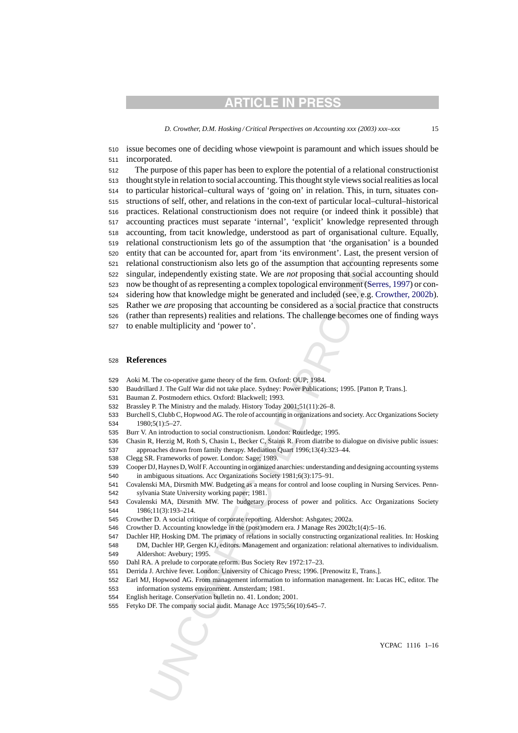*D. Crowther, D.M. Hosking / Critical Perspectives on Accounting xxx (2003) xxx–xxx* 15

<span id="page-14-0"></span> issue becomes one of deciding whose viewpoint is paramount and which issues should be incorporated.

ma, richcondrolly existing state. We are not proposed in the costomer and constructionism also lets go of the assumption that accounting<br>trip chongle thought of as representing a complex topological environment (Ser<br>in the The purpose of this paper has been to explore the potential of a relational constructionist thought style in relation to social accounting. This thought style views social realities as local to particular historical–cultural ways of 'going on' in relation. This, in turn, situates con- structions of self, other, and relations in the con-text of particular local–cultural–historical practices. Relational constructionism does not require (or indeed think it possible) that accounting practices must separate 'internal', 'explicit' knowledge represented through accounting, from tacit knowledge, understood as part of organisational culture. Equally, relational constructionism lets go of the assumption that 'the organisation' is a bounded entity that can be accounted for, apart from 'its environment'. Last, the present version of relational constructionism also lets go of the assumption that accounting represents some singular, independently existing state. We are *not* proposing that social accounting should now be thought of as representing a complex topological environment ([Serres, 1997\) o](#page-15-0)r con- sidering how that knowledge might be generated and included (see, e.g. Crowther, 2002b). Rather we *are* proposing that accounting be considered as a social practice that constructs (rather than represents) realities and relations. The challenge becomes one of finding ways to enable multiplicity and 'power to'.

#### **References**

- Aoki M. The co-operative game theory of the firm. Oxford: OUP; 1984.
- Baudrillard J. The Gulf War did not take place. Sydney: Power Publications; 1995. [Patton P, Trans.].
- Bauman Z. Postmodern ethics. Oxford: Blackwell; 1993.
- Brassley P. The Ministry and the malady. History Today 2001;51(11):26–8.
- Burchell S, Clubb C, Hopwood AG. The role of accounting in organizations and society. Acc Organizations Society 1980;5(1):5–27.
- Burr V. An introduction to social constructionism. London: Routledge; 1995.
- Chasin R, Herzig M, Roth S, Chasin L, Becker C, Stains R. From diatribe to dialogue on divisive public issues: approaches drawn from family therapy. Mediation Quart 1996;13(4):323–44.
- Clegg SR. Frameworks of power. London: Sage; 1989.
- Cooper DJ, Haynes D, Wolf F. Accounting in organized anarchies: understanding and designing accounting systems in ambiguous situations. Acc Organizations Society 1981;6(3):175–91.
- Covalenski MA, Dirsmith MW. Budgeting as a means for control and loose coupling in Nursing Services. Penn-
- sylvania State University working paper; 1981.
- Covalenski MA, Dirsmith MW. The budgetary process of power and politics. Acc Organizations Society 1986;11(3):193–214.
- Crowther D. A social critique of corporate reporting. Aldershot: Ashgates; 2002a.
- Crowther D. Accounting knowledge in the (post)modern era. J Manage Res 2002b;1(4):5–16.
- Dachler HP, Hosking DM. The primacy of relations in socially constructing organizational realities. In: Hosking
- DM, Dachler HP, Gergen KJ, editors. Management and organization: relational alternatives to individualism. Aldershot: Avebury; 1995.
- 
- Dahl RA. A prelude to corporate reform. Bus Society Rev 1972:17–23.
- Derrida J. Archive fever. London: University of Chicago Press; 1996. [Prenowitz E, Trans.].
- Earl MJ, Hopwood AG. From management information to information management. In: Lucas HC, editor. The information systems environment. Amsterdam; 1981.
- English heritage. Conservation bulletin no. 41. London; 2001.
- Fetyko DF. The company social audit. Manage Acc 1975;56(10):645–7.